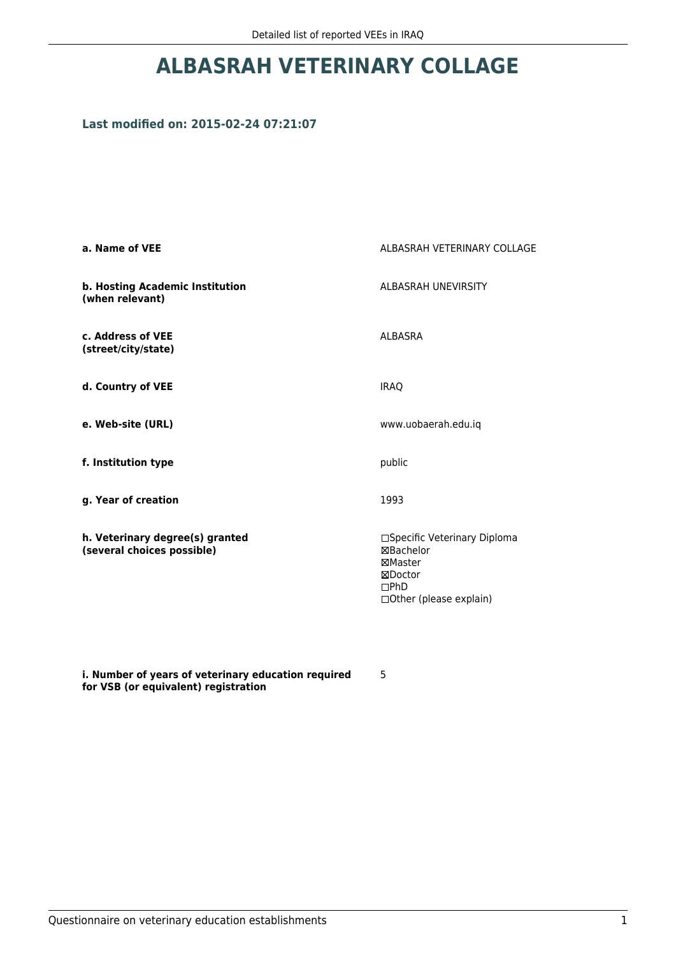## **ALBASRAH VETERINARY COLLAGE**

## **Last modified on: 2015-02-24 07:21:07**

| a. Name of VEE                                                | ALBASRAH VETERINARY COLLAGE                                                                               |
|---------------------------------------------------------------|-----------------------------------------------------------------------------------------------------------|
| b. Hosting Academic Institution<br>(when relevant)            | <b>ALBASRAH UNEVIRSITY</b>                                                                                |
| c. Address of VEE<br>(street/city/state)                      | <b>ALBASRA</b>                                                                                            |
| d. Country of VEE                                             | <b>IRAQ</b>                                                                                               |
| e. Web-site (URL)                                             | www.uobaerah.edu.iq                                                                                       |
| f. Institution type                                           | public                                                                                                    |
| g. Year of creation                                           | 1993                                                                                                      |
| h. Veterinary degree(s) granted<br>(several choices possible) | □Specific Veterinary Diploma<br><b>⊠Bachelor</b><br>⊠Master<br>⊠Doctor<br>DPhD<br>□Other (please explain) |

**i. Number of years of veterinary education required for VSB (or equivalent) registration**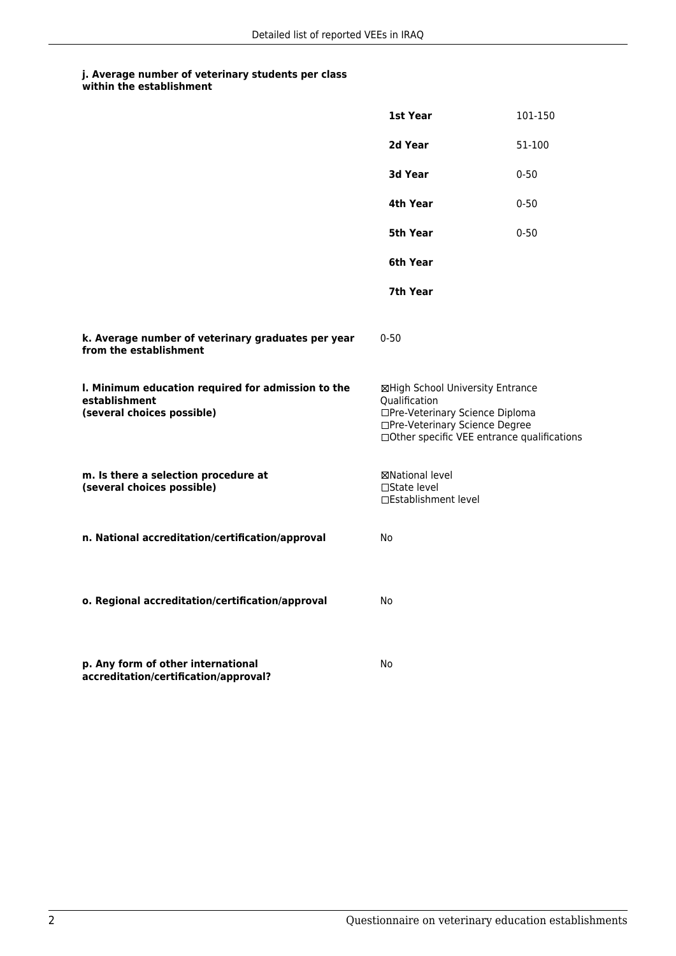|                                                                                                   | 1st Year                                                                                                                                                              | 101-150  |
|---------------------------------------------------------------------------------------------------|-----------------------------------------------------------------------------------------------------------------------------------------------------------------------|----------|
|                                                                                                   | 2d Year                                                                                                                                                               | 51-100   |
|                                                                                                   | 3d Year                                                                                                                                                               | $0 - 50$ |
|                                                                                                   | 4th Year                                                                                                                                                              | $0 - 50$ |
|                                                                                                   | 5th Year                                                                                                                                                              | $0 - 50$ |
|                                                                                                   | 6th Year                                                                                                                                                              |          |
|                                                                                                   | 7th Year                                                                                                                                                              |          |
| k. Average number of veterinary graduates per year<br>from the establishment                      | $0 - 50$                                                                                                                                                              |          |
| I. Minimum education required for admission to the<br>establishment<br>(several choices possible) | ⊠High School University Entrance<br>Qualification<br>□Pre-Veterinary Science Diploma<br>□Pre-Veterinary Science Degree<br>□Other specific VEE entrance qualifications |          |
| m. Is there a selection procedure at<br>(several choices possible)                                | ⊠National level<br>□State level<br>□Establishment level                                                                                                               |          |
| n. National accreditation/certification/approval                                                  | No                                                                                                                                                                    |          |
| o. Regional accreditation/certification/approval                                                  | No                                                                                                                                                                    |          |
| p. Any form of other international<br>accreditation/certification/approval?                       | No                                                                                                                                                                    |          |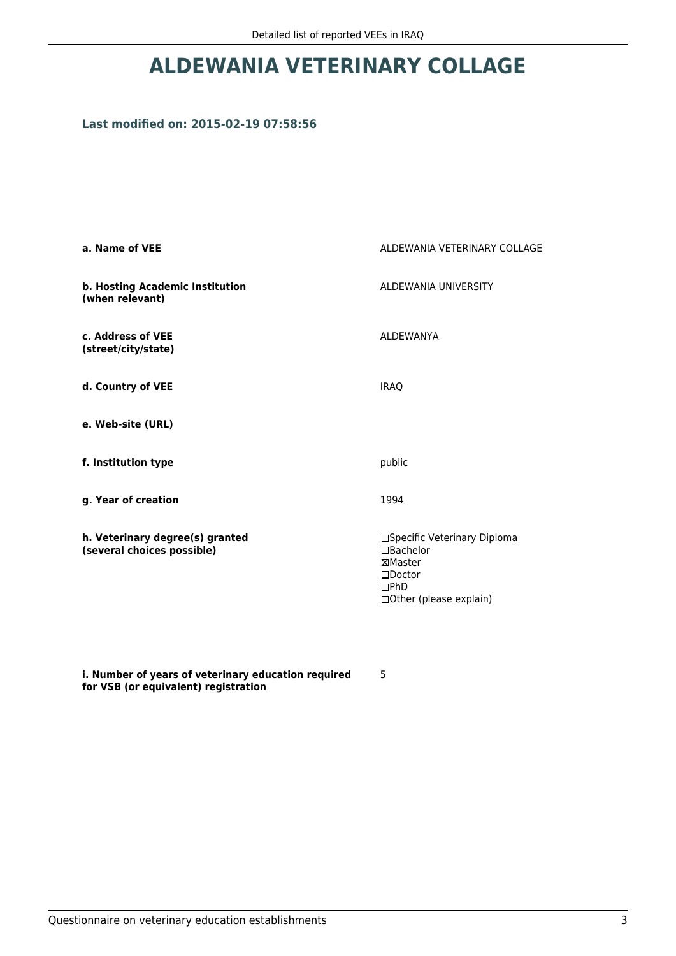## **ALDEWANIA VETERINARY COLLAGE**

### **Last modified on: 2015-02-19 07:58:56**

| a. Name of VEE                                                | ALDEWANIA VETERINARY COLLAGE                                                                                 |
|---------------------------------------------------------------|--------------------------------------------------------------------------------------------------------------|
| b. Hosting Academic Institution<br>(when relevant)            | ALDEWANIA UNIVERSITY                                                                                         |
| c. Address of VEE<br>(street/city/state)                      | <b>ALDEWANYA</b>                                                                                             |
| d. Country of VEE                                             | <b>IRAQ</b>                                                                                                  |
| e. Web-site (URL)                                             |                                                                                                              |
| f. Institution type                                           | public                                                                                                       |
| g. Year of creation                                           | 1994                                                                                                         |
| h. Veterinary degree(s) granted<br>(several choices possible) | □Specific Veterinary Diploma<br>□Bachelor<br>⊠Master<br>$\square$ Doctor<br>DPhD<br>□ Other (please explain) |

**i. Number of years of veterinary education required for VSB (or equivalent) registration**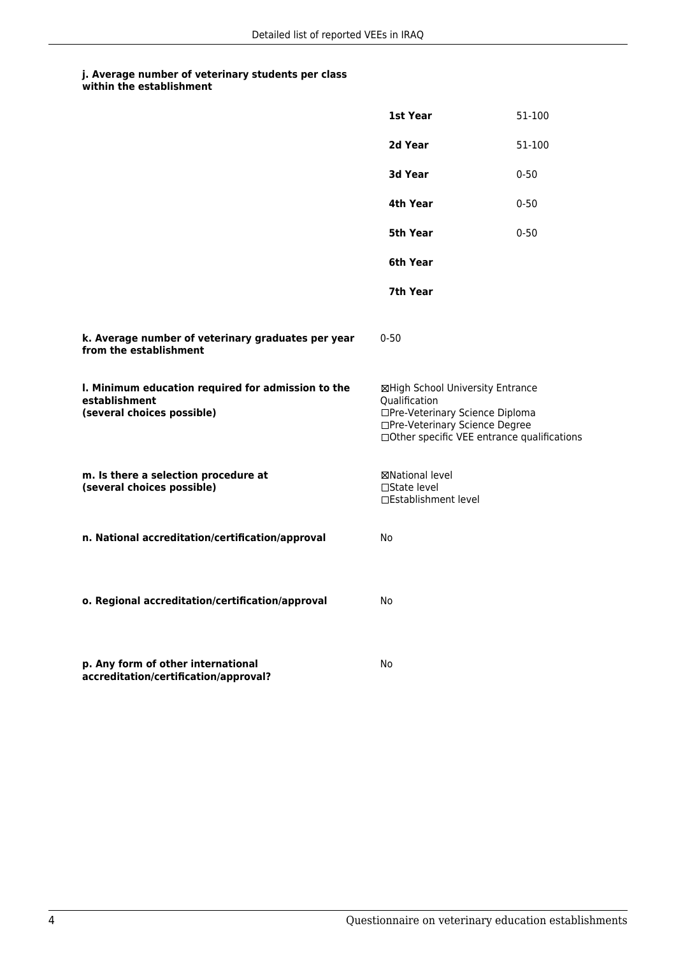|                                                                                                   | 1st Year                                                                                                                                                               | 51-100   |
|---------------------------------------------------------------------------------------------------|------------------------------------------------------------------------------------------------------------------------------------------------------------------------|----------|
|                                                                                                   | 2d Year                                                                                                                                                                | 51-100   |
|                                                                                                   | 3d Year                                                                                                                                                                | $0 - 50$ |
|                                                                                                   | 4th Year                                                                                                                                                               | $0 - 50$ |
|                                                                                                   | 5th Year                                                                                                                                                               | $0 - 50$ |
|                                                                                                   | 6th Year                                                                                                                                                               |          |
|                                                                                                   | 7th Year                                                                                                                                                               |          |
| k. Average number of veterinary graduates per year<br>from the establishment                      | $0 - 50$                                                                                                                                                               |          |
| I. Minimum education required for admission to the<br>establishment<br>(several choices possible) | ⊠High School University Entrance<br>Qualification<br>□Pre-Veterinary Science Diploma<br>□Pre-Veterinary Science Degree<br>□ Other specific VEE entrance qualifications |          |
| m. Is there a selection procedure at<br>(several choices possible)                                | ⊠National level<br>□State level<br>□Establishment level                                                                                                                |          |
| n. National accreditation/certification/approval                                                  | No                                                                                                                                                                     |          |
| o. Regional accreditation/certification/approval                                                  | No                                                                                                                                                                     |          |
| p. Any form of other international<br>accreditation/certification/approval?                       | No                                                                                                                                                                     |          |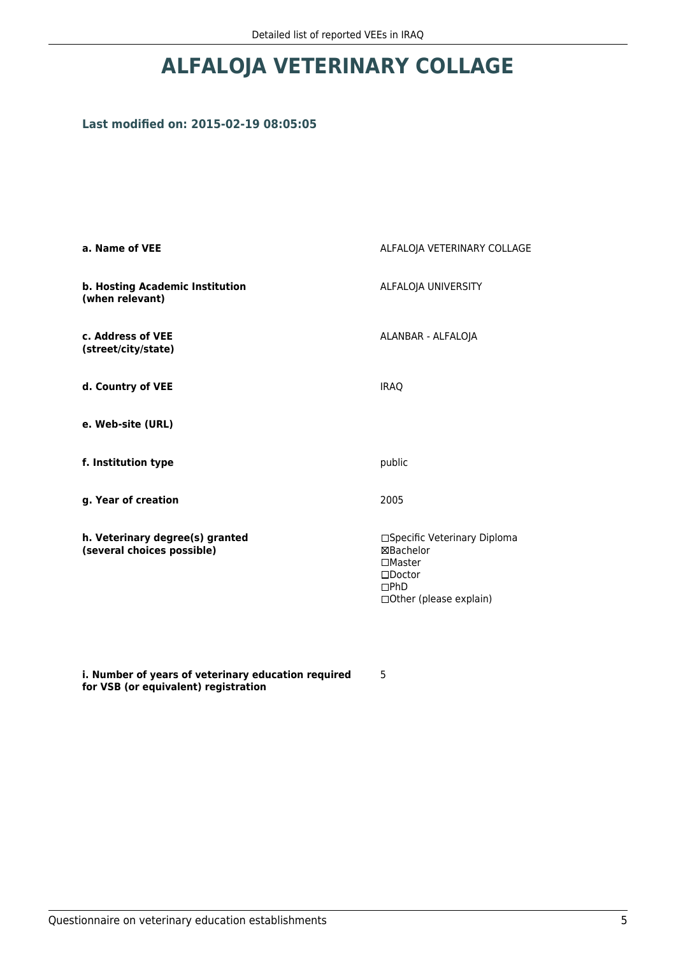## **ALFALOJA VETERINARY COLLAGE**

## **Last modified on: 2015-02-19 08:05:05**

| a. Name of VEE                                                | ALFALOJA VETERINARY COLLAGE                                                                                                    |
|---------------------------------------------------------------|--------------------------------------------------------------------------------------------------------------------------------|
| b. Hosting Academic Institution<br>(when relevant)            | ALFALOJA UNIVERSITY                                                                                                            |
| c. Address of VEE<br>(street/city/state)                      | ALANBAR - ALFALOJA                                                                                                             |
| d. Country of VEE                                             | <b>IRAQ</b>                                                                                                                    |
| e. Web-site (URL)                                             |                                                                                                                                |
| f. Institution type                                           | public                                                                                                                         |
| g. Year of creation                                           | 2005                                                                                                                           |
| h. Veterinary degree(s) granted<br>(several choices possible) | □Specific Veterinary Diploma<br><b>⊠Bachelor</b><br>$\Box$ Master<br>$\square$ Doctor<br>DPhD<br>$\Box$ Other (please explain) |

**i. Number of years of veterinary education required for VSB (or equivalent) registration**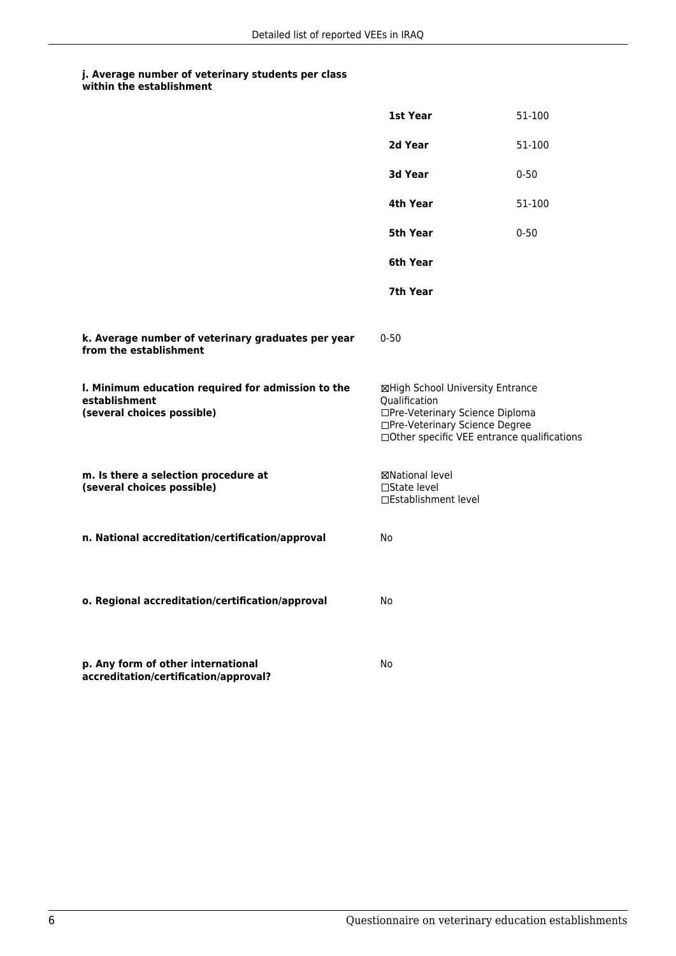|                                                                                                   | 1st Year                                                                                                                                                              | 51-100   |
|---------------------------------------------------------------------------------------------------|-----------------------------------------------------------------------------------------------------------------------------------------------------------------------|----------|
|                                                                                                   | 2d Year                                                                                                                                                               | 51-100   |
|                                                                                                   | 3d Year                                                                                                                                                               | $0 - 50$ |
|                                                                                                   | 4th Year                                                                                                                                                              | 51-100   |
|                                                                                                   | 5th Year                                                                                                                                                              | $0 - 50$ |
|                                                                                                   | 6th Year                                                                                                                                                              |          |
|                                                                                                   | 7th Year                                                                                                                                                              |          |
| k. Average number of veterinary graduates per year<br>from the establishment                      | $0 - 50$                                                                                                                                                              |          |
| I. Minimum education required for admission to the<br>establishment<br>(several choices possible) | ⊠High School University Entrance<br>Qualification<br>□Pre-Veterinary Science Diploma<br>□Pre-Veterinary Science Degree<br>□Other specific VEE entrance qualifications |          |
| m. Is there a selection procedure at<br>(several choices possible)                                | ⊠National level<br>□State level<br>□Establishment level                                                                                                               |          |
| n. National accreditation/certification/approval                                                  | No                                                                                                                                                                    |          |
| o. Regional accreditation/certification/approval                                                  | No                                                                                                                                                                    |          |
| p. Any form of other international<br>accreditation/certification/approval?                       | No                                                                                                                                                                    |          |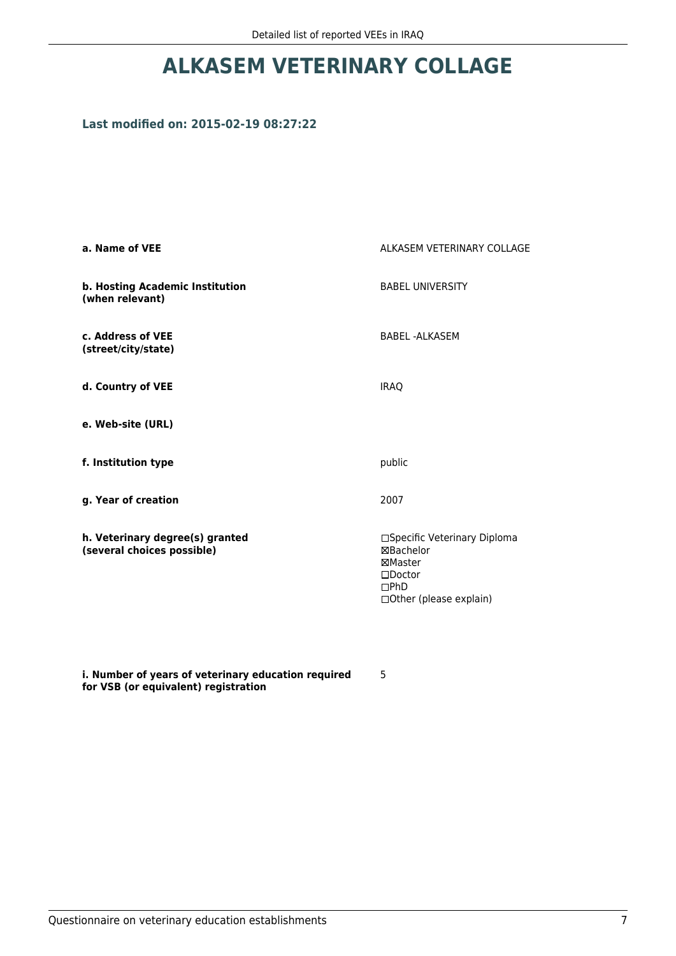# **ALKASEM VETERINARY COLLAGE**

## **Last modified on: 2015-02-19 08:27:22**

| a. Name of VEE                                                | ALKASEM VETERINARY COLLAGE                                                                                               |
|---------------------------------------------------------------|--------------------------------------------------------------------------------------------------------------------------|
| b. Hosting Academic Institution<br>(when relevant)            | <b>BABEL UNIVERSITY</b>                                                                                                  |
| c. Address of VEE<br>(street/city/state)                      | <b>BABEL-ALKASEM</b>                                                                                                     |
| d. Country of VEE                                             | <b>IRAQ</b>                                                                                                              |
| e. Web-site (URL)                                             |                                                                                                                          |
| f. Institution type                                           | public                                                                                                                   |
| g. Year of creation                                           | 2007                                                                                                                     |
| h. Veterinary degree(s) granted<br>(several choices possible) | □Specific Veterinary Diploma<br><b>⊠Bachelor</b><br>⊠Master<br>$\square$ Doctor<br>DPhD<br>$\Box$ Other (please explain) |

**i. Number of years of veterinary education required for VSB (or equivalent) registration**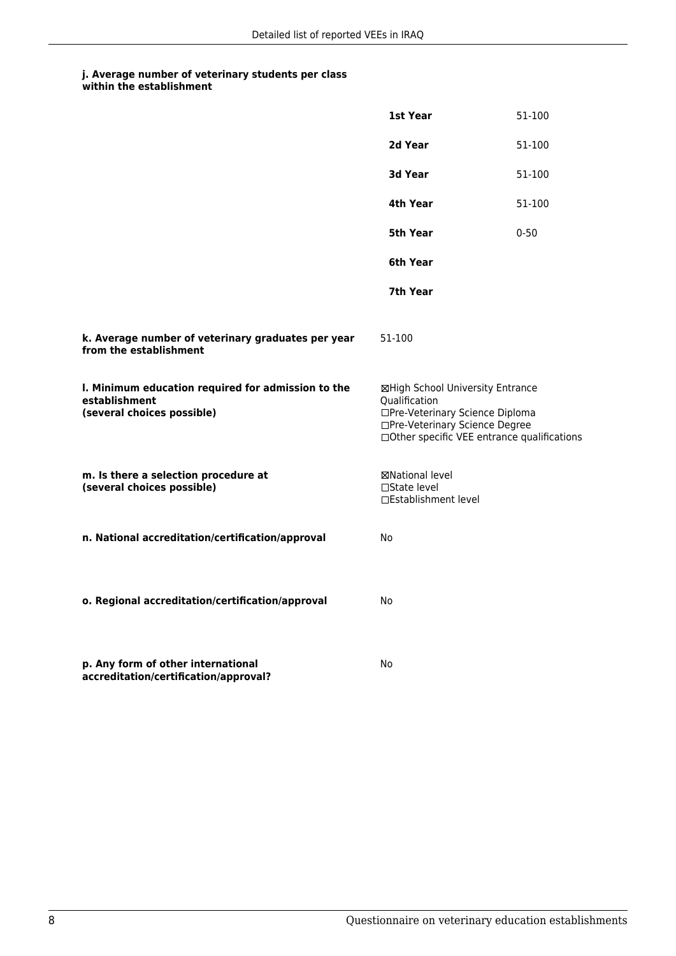|                                                                                                   | 1st Year                                                                                                                                                              | 51-100   |
|---------------------------------------------------------------------------------------------------|-----------------------------------------------------------------------------------------------------------------------------------------------------------------------|----------|
|                                                                                                   | 2d Year                                                                                                                                                               | 51-100   |
|                                                                                                   | <b>3d Year</b>                                                                                                                                                        | 51-100   |
|                                                                                                   | 4th Year                                                                                                                                                              | 51-100   |
|                                                                                                   | 5th Year                                                                                                                                                              | $0 - 50$ |
|                                                                                                   | 6th Year                                                                                                                                                              |          |
|                                                                                                   | 7th Year                                                                                                                                                              |          |
| k. Average number of veterinary graduates per year<br>from the establishment                      | 51-100                                                                                                                                                                |          |
| I. Minimum education required for admission to the<br>establishment<br>(several choices possible) | ⊠High School University Entrance<br>Qualification<br>□Pre-Veterinary Science Diploma<br>□Pre-Veterinary Science Degree<br>□Other specific VEE entrance qualifications |          |
| m. Is there a selection procedure at<br>(several choices possible)                                | ⊠National level<br>□State level<br>□Establishment level                                                                                                               |          |
| n. National accreditation/certification/approval                                                  | No                                                                                                                                                                    |          |
| o. Regional accreditation/certification/approval                                                  | No                                                                                                                                                                    |          |
| p. Any form of other international<br>accreditation/certification/approval?                       | No                                                                                                                                                                    |          |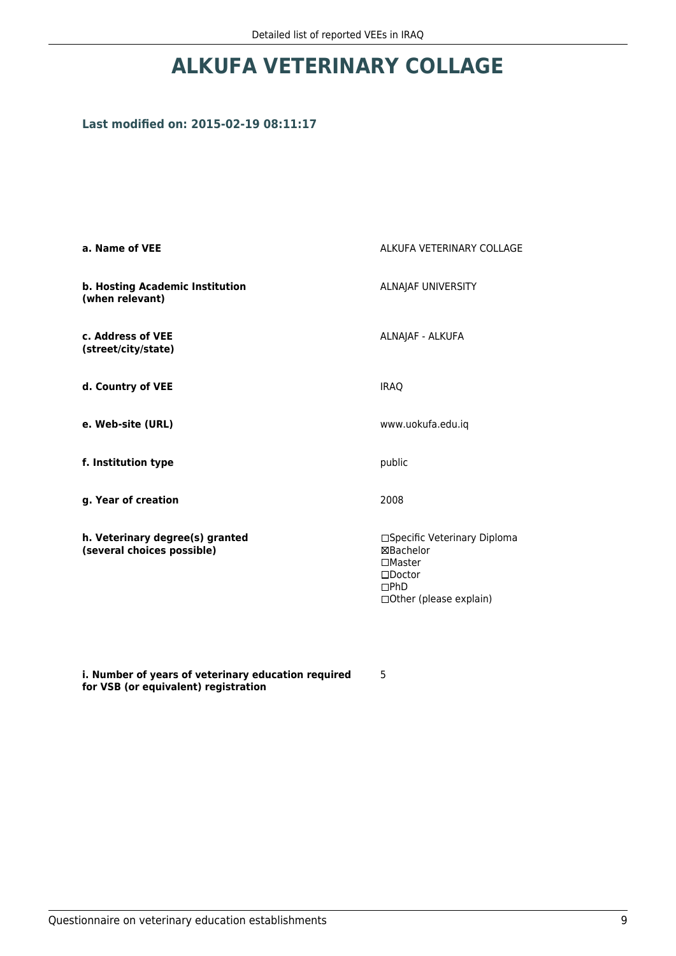## **ALKUFA VETERINARY COLLAGE**

## **Last modified on: 2015-02-19 08:11:17**

| a. Name of VEE                                                | ALKUFA VETERINARY COLLAGE                                                                                         |  |
|---------------------------------------------------------------|-------------------------------------------------------------------------------------------------------------------|--|
| b. Hosting Academic Institution<br>(when relevant)            | ALNAJAF UNIVERSITY                                                                                                |  |
| c. Address of VEE<br>(street/city/state)                      | ALNAJAF - ALKUFA                                                                                                  |  |
| d. Country of VEE                                             | <b>IRAQ</b>                                                                                                       |  |
| e. Web-site (URL)                                             | www.uokufa.edu.iq                                                                                                 |  |
| f. Institution type                                           | public                                                                                                            |  |
| g. Year of creation                                           | 2008                                                                                                              |  |
| h. Veterinary degree(s) granted<br>(several choices possible) | □Specific Veterinary Diploma<br>⊠Bachelor<br>$\Box$ Master<br>$\square$ Doctor<br>DPhD<br>□Other (please explain) |  |

**i. Number of years of veterinary education required for VSB (or equivalent) registration**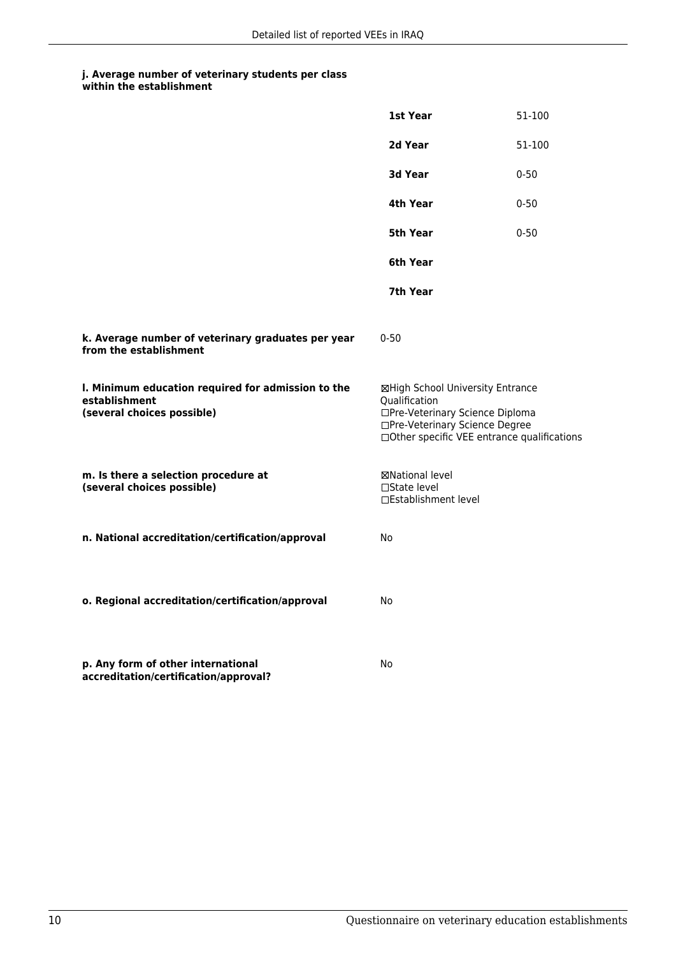|                                                                                                   | 1st Year                                                                                                                                                              | 51-100   |
|---------------------------------------------------------------------------------------------------|-----------------------------------------------------------------------------------------------------------------------------------------------------------------------|----------|
|                                                                                                   | 2d Year                                                                                                                                                               | 51-100   |
|                                                                                                   | 3d Year                                                                                                                                                               | $0 - 50$ |
|                                                                                                   | 4th Year                                                                                                                                                              | $0 - 50$ |
|                                                                                                   | 5th Year                                                                                                                                                              | $0 - 50$ |
|                                                                                                   | 6th Year                                                                                                                                                              |          |
|                                                                                                   | 7th Year                                                                                                                                                              |          |
| k. Average number of veterinary graduates per year<br>from the establishment                      | $0 - 50$                                                                                                                                                              |          |
| I. Minimum education required for admission to the<br>establishment<br>(several choices possible) | ⊠High School University Entrance<br>Qualification<br>□Pre-Veterinary Science Diploma<br>□Pre-Veterinary Science Degree<br>□Other specific VEE entrance qualifications |          |
| m. Is there a selection procedure at<br>(several choices possible)                                | ⊠National level<br>□State level<br>□Establishment level                                                                                                               |          |
| n. National accreditation/certification/approval                                                  | No                                                                                                                                                                    |          |
| o. Regional accreditation/certification/approval                                                  | No                                                                                                                                                                    |          |
| p. Any form of other international<br>accreditation/certification/approval?                       | No                                                                                                                                                                    |          |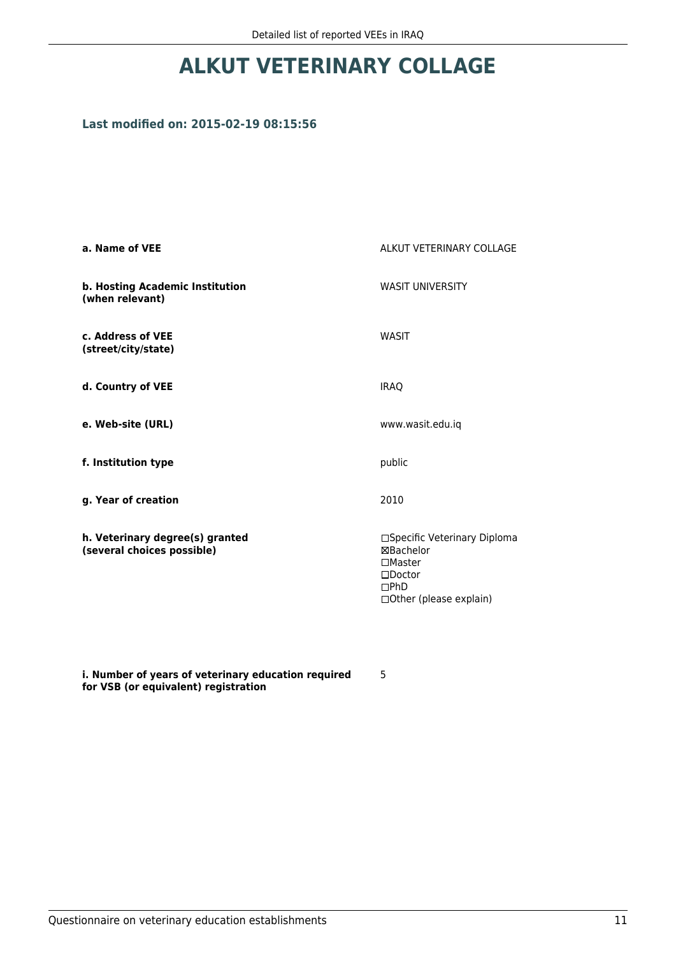## **ALKUT VETERINARY COLLAGE**

## **Last modified on: 2015-02-19 08:15:56**

| a. Name of VEE                                                | ALKUT VETERINARY COLLAGE                                                                                           |  |
|---------------------------------------------------------------|--------------------------------------------------------------------------------------------------------------------|--|
| b. Hosting Academic Institution<br>(when relevant)            | <b>WASIT UNIVERSITY</b>                                                                                            |  |
| c. Address of VEE<br>(street/city/state)                      | <b>WASIT</b>                                                                                                       |  |
| d. Country of VEE                                             | <b>IRAQ</b>                                                                                                        |  |
| e. Web-site (URL)                                             | www.wasit.edu.iq                                                                                                   |  |
| f. Institution type                                           | public                                                                                                             |  |
| g. Year of creation                                           | 2010                                                                                                               |  |
| h. Veterinary degree(s) granted<br>(several choices possible) | □Specific Veterinary Diploma<br>⊠Bachelor<br>$\Box$ Master<br>$\square$ Doctor<br>DPhD<br>□ Other (please explain) |  |

**i. Number of years of veterinary education required for VSB (or equivalent) registration**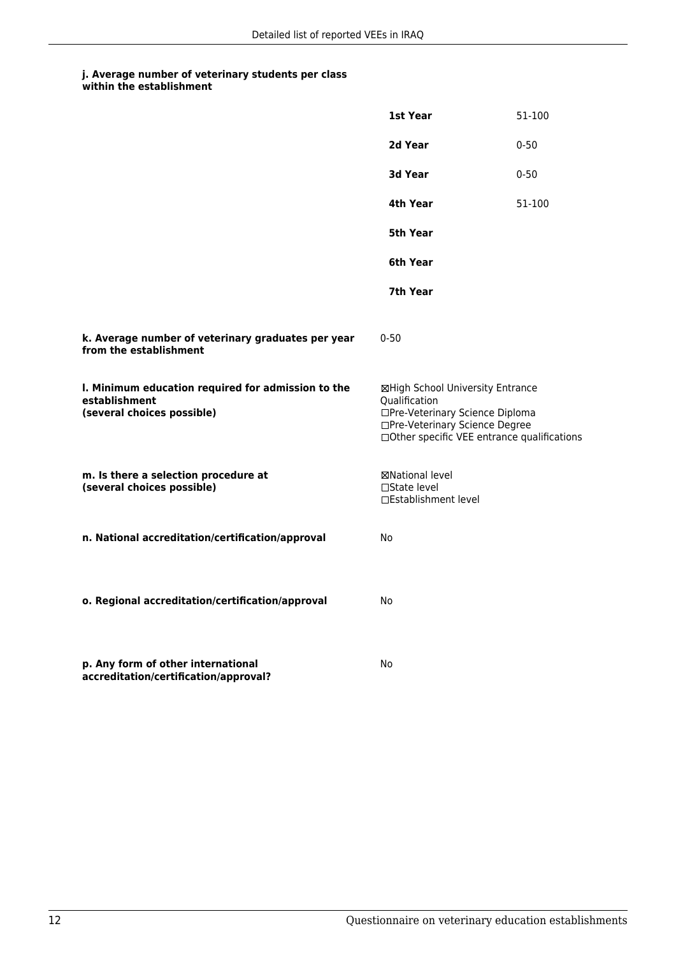|                                                                                                   | 1st Year                                                                                                                                                              | 51-100   |
|---------------------------------------------------------------------------------------------------|-----------------------------------------------------------------------------------------------------------------------------------------------------------------------|----------|
|                                                                                                   | 2d Year                                                                                                                                                               | $0 - 50$ |
|                                                                                                   | 3d Year                                                                                                                                                               | $0 - 50$ |
|                                                                                                   | 4th Year                                                                                                                                                              | 51-100   |
|                                                                                                   | 5th Year                                                                                                                                                              |          |
|                                                                                                   | 6th Year                                                                                                                                                              |          |
|                                                                                                   | 7th Year                                                                                                                                                              |          |
| k. Average number of veterinary graduates per year<br>from the establishment                      | $0 - 50$                                                                                                                                                              |          |
| I. Minimum education required for admission to the<br>establishment<br>(several choices possible) | ⊠High School University Entrance<br>Qualification<br>□Pre-Veterinary Science Diploma<br>□Pre-Veterinary Science Degree<br>□Other specific VEE entrance qualifications |          |
| m. Is there a selection procedure at<br>(several choices possible)                                | ⊠National level<br>$\Box$ State level<br>□Establishment level                                                                                                         |          |
| n. National accreditation/certification/approval                                                  | No                                                                                                                                                                    |          |
| o. Regional accreditation/certification/approval                                                  | No                                                                                                                                                                    |          |
| p. Any form of other international<br>accreditation/certification/approval?                       | No                                                                                                                                                                    |          |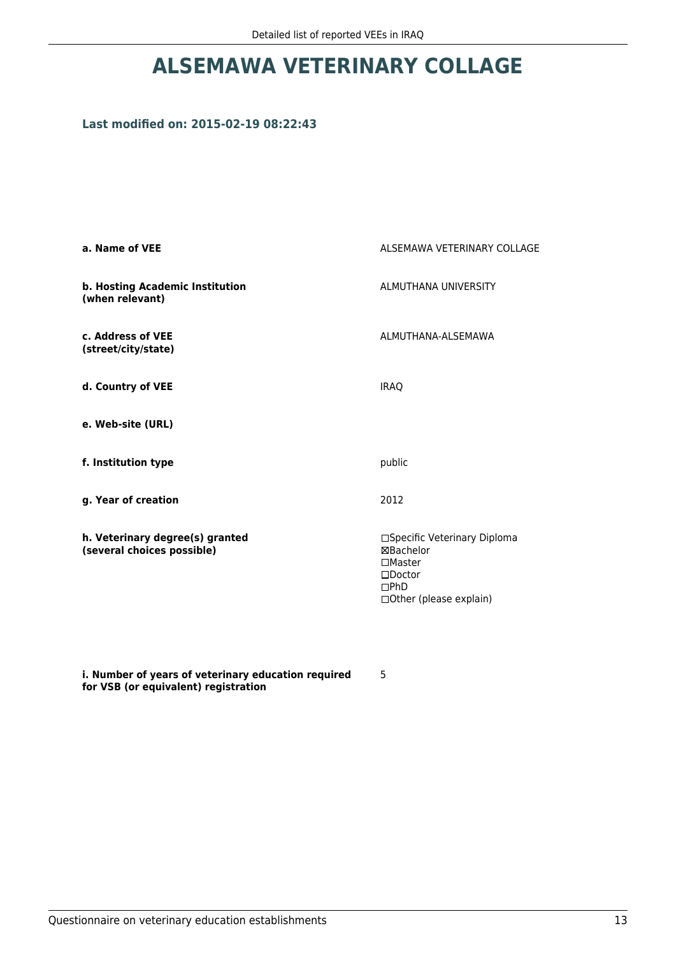## **ALSEMAWA VETERINARY COLLAGE**

## **Last modified on: 2015-02-19 08:22:43**

| a. Name of VEE                                                | ALSEMAWA VETERINARY COLLAGE                                                                                           |
|---------------------------------------------------------------|-----------------------------------------------------------------------------------------------------------------------|
| b. Hosting Academic Institution<br>(when relevant)            | ALMUTHANA UNIVERSITY                                                                                                  |
| c. Address of VEE<br>(street/city/state)                      | ALMUTHANA-ALSEMAWA                                                                                                    |
| d. Country of VEE                                             | <b>IRAO</b>                                                                                                           |
| e. Web-site (URL)                                             |                                                                                                                       |
| f. Institution type                                           | public                                                                                                                |
| g. Year of creation                                           | 2012                                                                                                                  |
| h. Veterinary degree(s) granted<br>(several choices possible) | □Specific Veterinary Diploma<br>⊠Bachelor<br>$\square$ Master<br>$\square$ Doctor<br>DPhD<br>□ Other (please explain) |

**i. Number of years of veterinary education required for VSB (or equivalent) registration**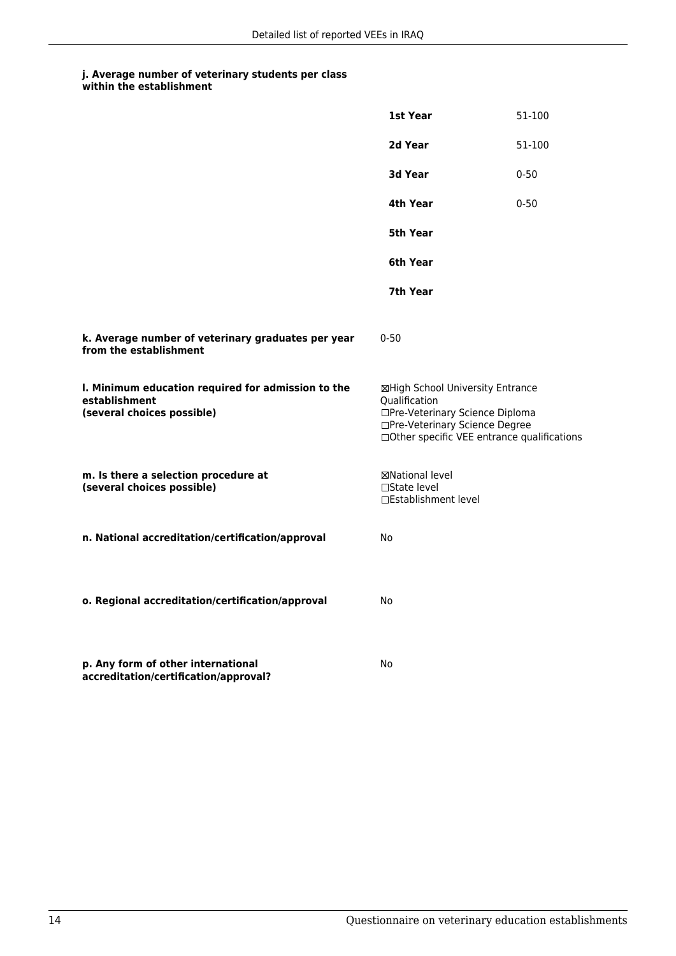|                                                                                                   | 1st Year                                                                                                                                                              | 51-100   |
|---------------------------------------------------------------------------------------------------|-----------------------------------------------------------------------------------------------------------------------------------------------------------------------|----------|
|                                                                                                   | 2d Year                                                                                                                                                               | 51-100   |
|                                                                                                   | 3d Year                                                                                                                                                               | $0 - 50$ |
|                                                                                                   | 4th Year                                                                                                                                                              | $0 - 50$ |
|                                                                                                   | 5th Year                                                                                                                                                              |          |
|                                                                                                   | 6th Year                                                                                                                                                              |          |
|                                                                                                   | 7th Year                                                                                                                                                              |          |
| k. Average number of veterinary graduates per year<br>from the establishment                      | $0 - 50$                                                                                                                                                              |          |
| I. Minimum education required for admission to the<br>establishment<br>(several choices possible) | ⊠High School University Entrance<br>Qualification<br>□Pre-Veterinary Science Diploma<br>□Pre-Veterinary Science Degree<br>□Other specific VEE entrance qualifications |          |
| m. Is there a selection procedure at<br>(several choices possible)                                | ⊠National level<br>$\Box$ State level<br>□Establishment level                                                                                                         |          |
| n. National accreditation/certification/approval                                                  | No                                                                                                                                                                    |          |
| o. Regional accreditation/certification/approval                                                  | No                                                                                                                                                                    |          |
| p. Any form of other international<br>accreditation/certification/approval?                       | No                                                                                                                                                                    |          |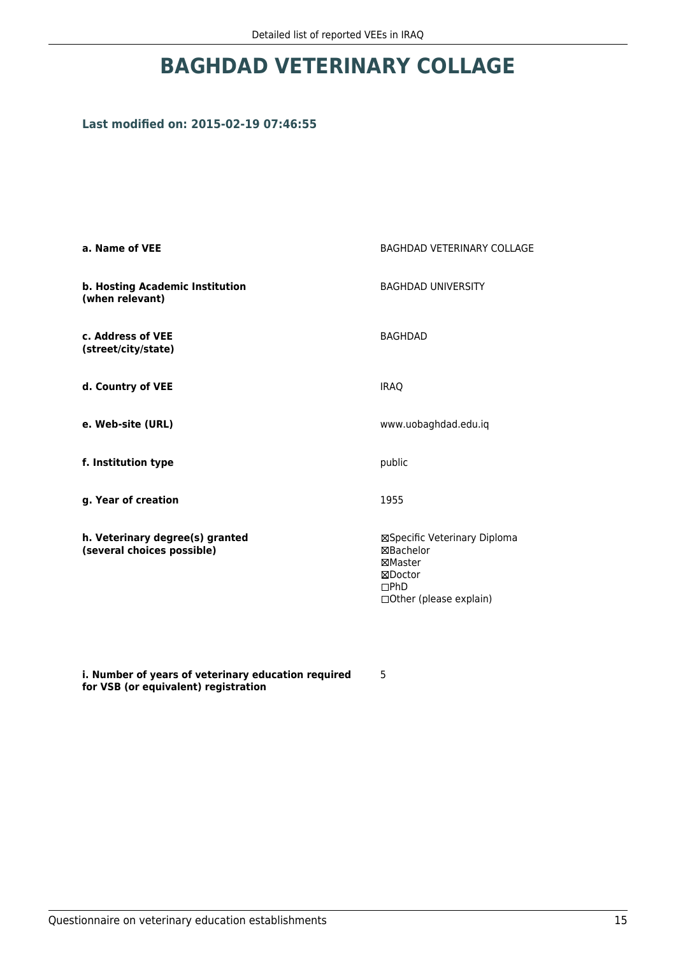## **BAGHDAD VETERINARY COLLAGE**

## **Last modified on: 2015-02-19 07:46:55**

| a. Name of VEE                                                | <b>BAGHDAD VETERINARY COLLAGE</b>                                                                   |  |
|---------------------------------------------------------------|-----------------------------------------------------------------------------------------------------|--|
| b. Hosting Academic Institution<br>(when relevant)            | <b>BAGHDAD UNIVERSITY</b>                                                                           |  |
| c. Address of VEE<br>(street/city/state)                      | <b>BAGHDAD</b>                                                                                      |  |
| d. Country of VEE                                             | <b>IRAQ</b>                                                                                         |  |
| e. Web-site (URL)                                             | www.uobaghdad.edu.iq                                                                                |  |
| f. Institution type                                           | public                                                                                              |  |
| g. Year of creation                                           | 1955                                                                                                |  |
| h. Veterinary degree(s) granted<br>(several choices possible) | ⊠Specific Veterinary Diploma<br>⊠Bachelor<br>⊠Master<br>⊠Doctor<br>DPhD<br>□ Other (please explain) |  |

**i. Number of years of veterinary education required for VSB (or equivalent) registration**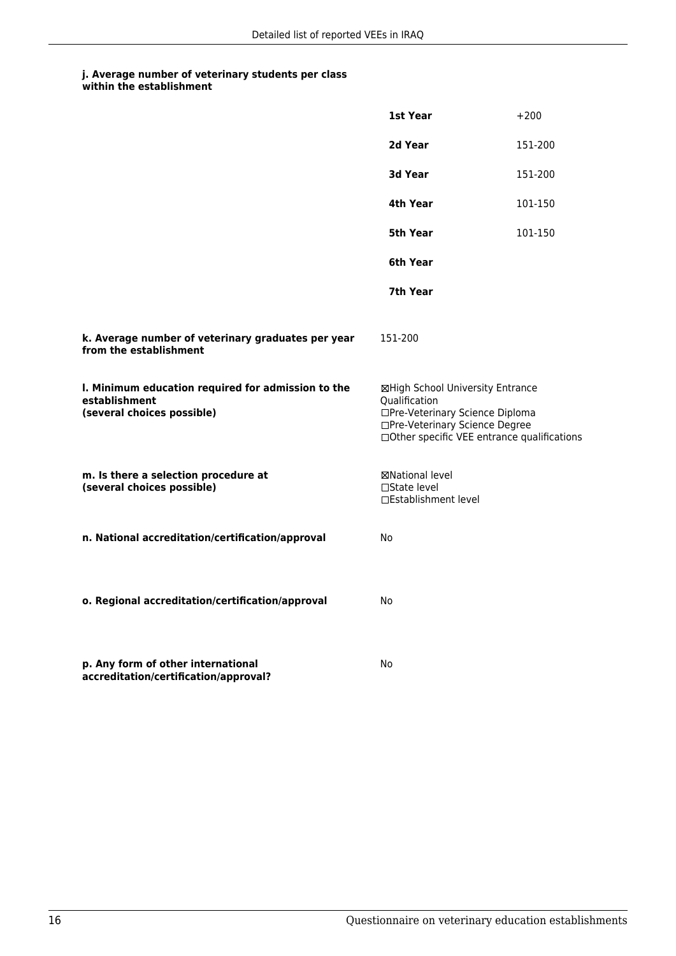|                                                                                                   | 1st Year                                                                                                                                                              | $+200$  |
|---------------------------------------------------------------------------------------------------|-----------------------------------------------------------------------------------------------------------------------------------------------------------------------|---------|
|                                                                                                   | 2d Year                                                                                                                                                               | 151-200 |
|                                                                                                   | 3d Year                                                                                                                                                               | 151-200 |
|                                                                                                   | 4th Year                                                                                                                                                              | 101-150 |
|                                                                                                   | 5th Year                                                                                                                                                              | 101-150 |
|                                                                                                   | 6th Year                                                                                                                                                              |         |
|                                                                                                   | 7th Year                                                                                                                                                              |         |
| k. Average number of veterinary graduates per year<br>from the establishment                      | 151-200                                                                                                                                                               |         |
| I. Minimum education required for admission to the<br>establishment<br>(several choices possible) | ⊠High School University Entrance<br>Qualification<br>□Pre-Veterinary Science Diploma<br>□Pre-Veterinary Science Degree<br>□Other specific VEE entrance qualifications |         |
| m. Is there a selection procedure at<br>(several choices possible)                                | ⊠National level<br>□State level<br>□Establishment level                                                                                                               |         |
| n. National accreditation/certification/approval                                                  | No                                                                                                                                                                    |         |
| o. Regional accreditation/certification/approval                                                  | No                                                                                                                                                                    |         |
| p. Any form of other international<br>accreditation/certification/approval?                       | No                                                                                                                                                                    |         |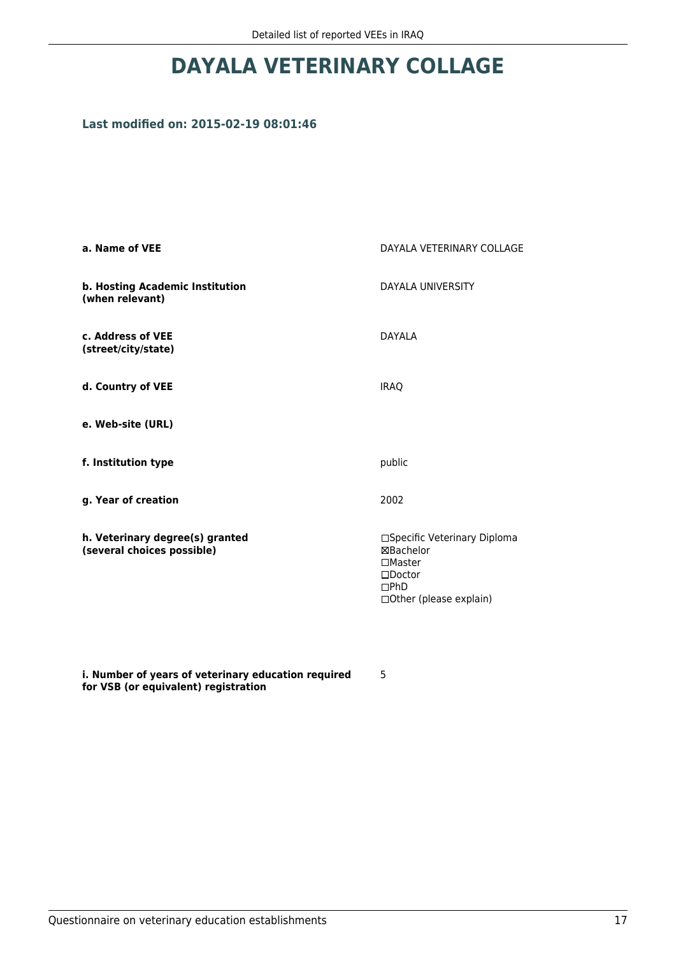## **DAYALA VETERINARY COLLAGE**

## **Last modified on: 2015-02-19 08:01:46**

| a. Name of VEE                                                | DAYALA VETERINARY COLLAGE                                                                                             |  |
|---------------------------------------------------------------|-----------------------------------------------------------------------------------------------------------------------|--|
| b. Hosting Academic Institution<br>(when relevant)            | DAYALA UNIVERSITY                                                                                                     |  |
| c. Address of VEE<br>(street/city/state)                      | <b>DAYALA</b>                                                                                                         |  |
| d. Country of VEE                                             | <b>IRAQ</b>                                                                                                           |  |
| e. Web-site (URL)                                             |                                                                                                                       |  |
| f. Institution type                                           | public                                                                                                                |  |
| g. Year of creation                                           | 2002                                                                                                                  |  |
| h. Veterinary degree(s) granted<br>(several choices possible) | □Specific Veterinary Diploma<br>⊠Bachelor<br>$\square$ Master<br>$\square$ Doctor<br>DPhD<br>□ Other (please explain) |  |

**i. Number of years of veterinary education required for VSB (or equivalent) registration**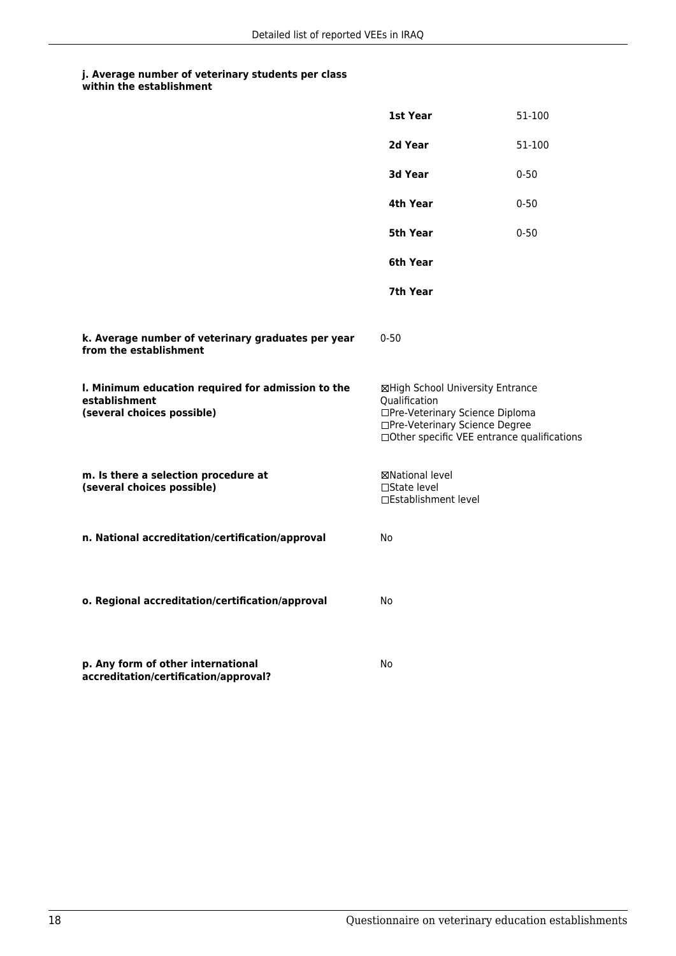|                                                                                                   | 1st Year                                                                                                                                                              | 51-100   |
|---------------------------------------------------------------------------------------------------|-----------------------------------------------------------------------------------------------------------------------------------------------------------------------|----------|
|                                                                                                   | 2d Year                                                                                                                                                               | 51-100   |
|                                                                                                   | 3d Year                                                                                                                                                               | $0 - 50$ |
|                                                                                                   | 4th Year                                                                                                                                                              | $0 - 50$ |
|                                                                                                   | 5th Year                                                                                                                                                              | $0 - 50$ |
|                                                                                                   | 6th Year                                                                                                                                                              |          |
|                                                                                                   | 7th Year                                                                                                                                                              |          |
| k. Average number of veterinary graduates per year<br>from the establishment                      | $0 - 50$                                                                                                                                                              |          |
| I. Minimum education required for admission to the<br>establishment<br>(several choices possible) | ⊠High School University Entrance<br>Qualification<br>□Pre-Veterinary Science Diploma<br>□Pre-Veterinary Science Degree<br>□Other specific VEE entrance qualifications |          |
| m. Is there a selection procedure at<br>(several choices possible)                                | ⊠National level<br>□State level<br>□Establishment level                                                                                                               |          |
| n. National accreditation/certification/approval                                                  | No                                                                                                                                                                    |          |
| o. Regional accreditation/certification/approval                                                  | No                                                                                                                                                                    |          |
| p. Any form of other international<br>accreditation/certification/approval?                       | No                                                                                                                                                                    |          |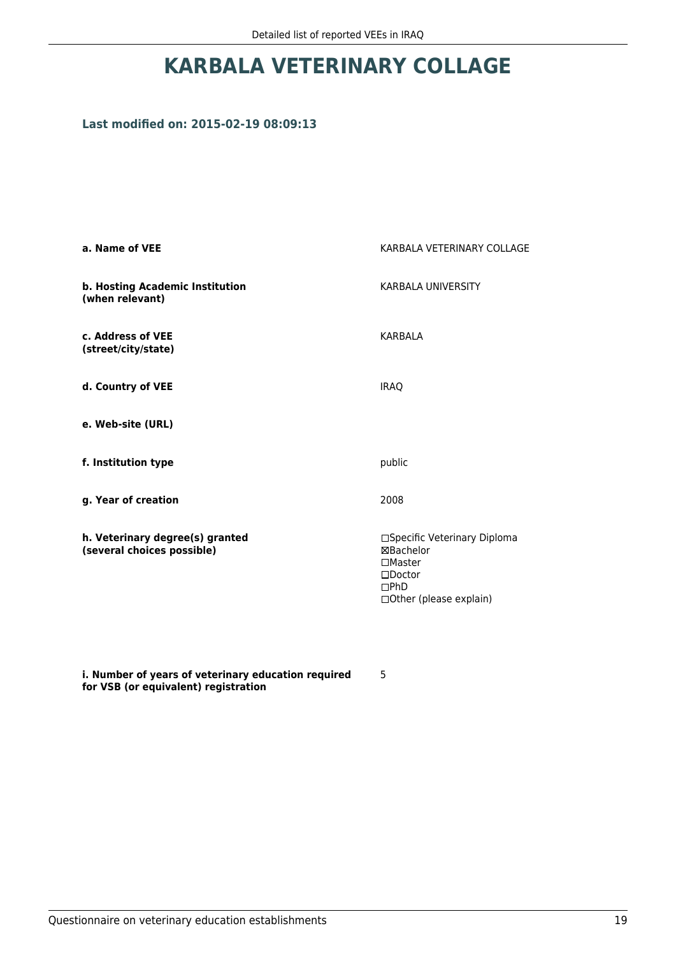# **KARBALA VETERINARY COLLAGE**

### **Last modified on: 2015-02-19 08:09:13**

| a. Name of VEE                                                | KARBALA VETERINARY COLLAGE                                                                                        |  |
|---------------------------------------------------------------|-------------------------------------------------------------------------------------------------------------------|--|
| b. Hosting Academic Institution<br>(when relevant)            | <b>KARBALA UNIVERSITY</b>                                                                                         |  |
| c. Address of VEE<br>(street/city/state)                      | <b>KARBALA</b>                                                                                                    |  |
| d. Country of VEE                                             | <b>IRAO</b>                                                                                                       |  |
| e. Web-site (URL)                                             |                                                                                                                   |  |
| f. Institution type                                           | public                                                                                                            |  |
| g. Year of creation                                           | 2008                                                                                                              |  |
| h. Veterinary degree(s) granted<br>(several choices possible) | □Specific Veterinary Diploma<br>⊠Bachelor<br>$\Box$ Master<br>$\square$ Doctor<br>DPhD<br>□Other (please explain) |  |

**i. Number of years of veterinary education required for VSB (or equivalent) registration**